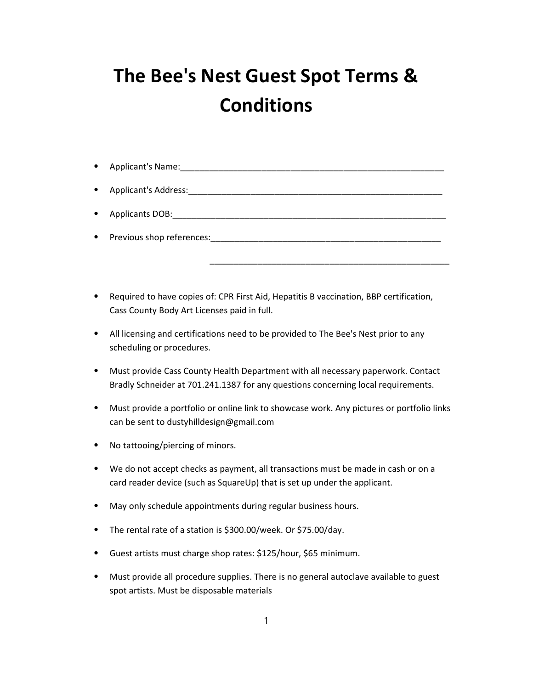## The Bee's Nest Guest Spot Terms & **Conditions**

- ⦁ Applicant's Name:\_\_\_\_\_\_\_\_\_\_\_\_\_\_\_\_\_\_\_\_\_\_\_\_\_\_\_\_\_\_\_\_\_\_\_\_\_\_\_\_\_\_\_\_\_\_\_\_\_\_\_\_\_\_\_ • Applicant's Address: 1990 1990 1990 1991 1991 1992 1994 1994 1995 1996 1997 1998 1999 1999 1999 1999 1999 19 ⦁ Applicants DOB:\_\_\_\_\_\_\_\_\_\_\_\_\_\_\_\_\_\_\_\_\_\_\_\_\_\_\_\_\_\_\_\_\_\_\_\_\_\_\_\_\_\_\_\_\_\_\_\_\_\_\_\_\_\_\_\_\_ ⦁ Previous shop references:\_\_\_\_\_\_\_\_\_\_\_\_\_\_\_\_\_\_\_\_\_\_\_\_\_\_\_\_\_\_\_\_\_\_\_\_\_\_\_\_\_\_\_\_\_\_\_\_
- ⦁ Required to have copies of: CPR First Aid, Hepatitis B vaccination, BBP certification, Cass County Body Art Licenses paid in full.

\_\_\_\_\_\_\_\_\_\_\_\_\_\_\_\_\_\_\_\_\_\_\_\_\_\_\_\_\_\_\_\_\_\_\_\_\_\_\_\_\_\_\_\_\_\_\_\_\_\_

- ⦁ All licensing and certifications need to be provided to The Bee's Nest prior to any scheduling or procedures.
- ⦁ Must provide Cass County Health Department with all necessary paperwork. Contact Bradly Schneider at 701.241.1387 for any questions concerning local requirements.
- ⦁ Must provide a portfolio or online link to showcase work. Any pictures or portfolio links can be sent to dustyhilldesign@gmail.com
- ⦁ No tattooing/piercing of minors.
- ⦁ We do not accept checks as payment, all transactions must be made in cash or on a card reader device (such as SquareUp) that is set up under the applicant.
- ⦁ May only schedule appointments during regular business hours.
- ⦁ The rental rate of a station is \$300.00/week. Or \$75.00/day.
- ⦁ Guest artists must charge shop rates: \$125/hour, \$65 minimum.
- ⦁ Must provide all procedure supplies. There is no general autoclave available to guest spot artists. Must be disposable materials